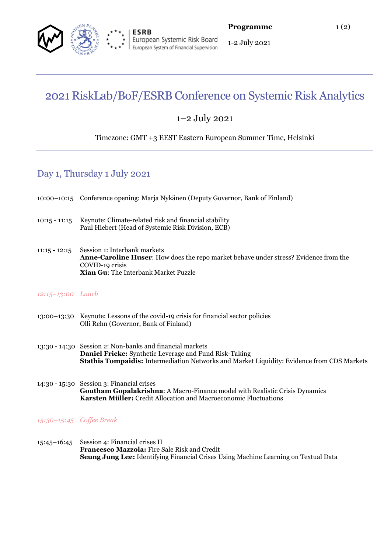

1-2 July 2021

# 2021 RiskLab/BoF/ESRB Conference on Systemic Risk Analytics

## 1–2 July 2021

### Timezone: GMT +3 EEST Eastern European Summer Time, Helsinki

## Day 1, Thursday 1 July 2021

|                          | 10:00-10:15 Conference opening: Marja Nykänen (Deputy Governor, Bank of Finland)                                                                                                                                 |
|--------------------------|------------------------------------------------------------------------------------------------------------------------------------------------------------------------------------------------------------------|
| $10:15 - 11:15$          | Keynote: Climate-related risk and financial stability<br>Paul Hiebert (Head of Systemic Risk Division, ECB)                                                                                                      |
| $11:15 - 12:15$          | Session 1: Interbank markets<br><b>Anne-Caroline Huser:</b> How does the repo market behave under stress? Evidence from the<br>COVID-19 crisis<br>Xian Gu: The Interbank Market Puzzle                           |
| 12:15-13:00 Lunch        |                                                                                                                                                                                                                  |
|                          | 13:00–13:30 Keynote: Lessons of the covid-19 crisis for financial sector policies<br>Olli Rehn (Governor, Bank of Finland)                                                                                       |
|                          | 13:30 - 14:30 Session 2: Non-banks and financial markets<br>Daniel Fricke: Synthetic Leverage and Fund Risk-Taking<br>Stathis Tompaidis: Intermediation Networks and Market Liquidity: Evidence from CDS Markets |
|                          | 14:30 - 15:30 Session 3: Financial crises<br><b>Goutham Gopalakrishna:</b> A Macro-Finance model with Realistic Crisis Dynamics<br>Karsten Müller: Credit Allocation and Macroeconomic Fluctuations              |
| 15:30-15:45 Coffee Break |                                                                                                                                                                                                                  |
| $15:45 - 16:45$          | Session 4: Financial crises II<br>Francesco Mazzola: Fire Sale Risk and Credit<br><b>Seung Jung Lee:</b> Identifying Financial Crises Using Machine Learning on Textual Data                                     |